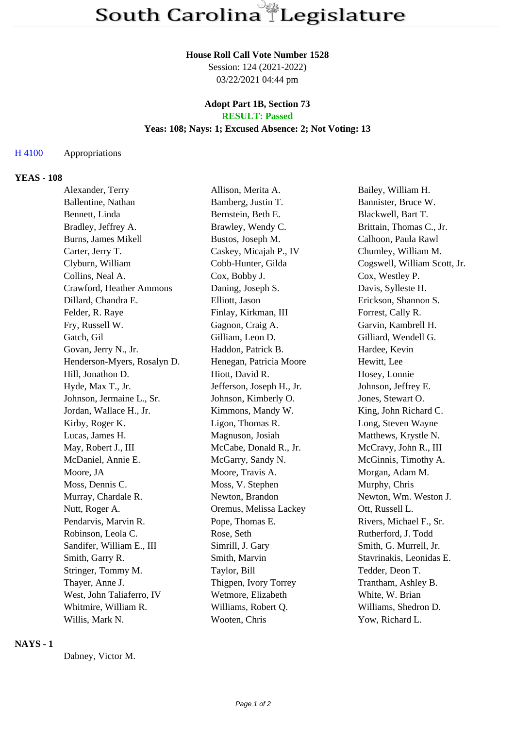## **House Roll Call Vote Number 1528**

Session: 124 (2021-2022) 03/22/2021 04:44 pm

### **Adopt Part 1B, Section 73 RESULT: Passed**

## **Yeas: 108; Nays: 1; Excused Absence: 2; Not Voting: 13**

### H 4100 Appropriations

# **YEAS - 108**

| Alexander, Terry            | Allison, Merita A.        | Bailey, William H.           |
|-----------------------------|---------------------------|------------------------------|
| Ballentine, Nathan          | Bamberg, Justin T.        | Bannister, Bruce W.          |
| Bennett, Linda              | Bernstein, Beth E.        | Blackwell, Bart T.           |
| Bradley, Jeffrey A.         | Brawley, Wendy C.         | Brittain, Thomas C., Jr.     |
| Burns, James Mikell         | Bustos, Joseph M.         | Calhoon, Paula Rawl          |
| Carter, Jerry T.            | Caskey, Micajah P., IV    | Chumley, William M.          |
| Clyburn, William            | Cobb-Hunter, Gilda        | Cogswell, William Scott, Jr. |
| Collins, Neal A.            | Cox, Bobby J.             | Cox, Westley P.              |
| Crawford, Heather Ammons    | Daning, Joseph S.         | Davis, Sylleste H.           |
| Dillard, Chandra E.         | Elliott, Jason            | Erickson, Shannon S.         |
| Felder, R. Raye             | Finlay, Kirkman, III      | Forrest, Cally R.            |
| Fry, Russell W.             | Gagnon, Craig A.          | Garvin, Kambrell H.          |
| Gatch, Gil                  | Gilliam, Leon D.          | Gilliard, Wendell G.         |
| Govan, Jerry N., Jr.        | Haddon, Patrick B.        | Hardee, Kevin                |
| Henderson-Myers, Rosalyn D. | Henegan, Patricia Moore   | Hewitt, Lee                  |
| Hill, Jonathon D.           | Hiott, David R.           | Hosey, Lonnie                |
| Hyde, Max T., Jr.           | Jefferson, Joseph H., Jr. | Johnson, Jeffrey E.          |
| Johnson, Jermaine L., Sr.   | Johnson, Kimberly O.      | Jones, Stewart O.            |
| Jordan, Wallace H., Jr.     | Kimmons, Mandy W.         | King, John Richard C.        |
| Kirby, Roger K.             | Ligon, Thomas R.          | Long, Steven Wayne           |
| Lucas, James H.             | Magnuson, Josiah          | Matthews, Krystle N.         |
| May, Robert J., III         | McCabe, Donald R., Jr.    | McCravy, John R., III        |
| McDaniel, Annie E.          | McGarry, Sandy N.         | McGinnis, Timothy A.         |
| Moore, JA                   | Moore, Travis A.          | Morgan, Adam M.              |
| Moss, Dennis C.             | Moss, V. Stephen          | Murphy, Chris                |
| Murray, Chardale R.         | Newton, Brandon           | Newton, Wm. Weston J.        |
| Nutt, Roger A.              | Oremus, Melissa Lackey    | Ott, Russell L.              |
| Pendarvis, Marvin R.        | Pope, Thomas E.           | Rivers, Michael F., Sr.      |
| Robinson, Leola C.          | Rose, Seth                | Rutherford, J. Todd          |
| Sandifer, William E., III   | Simrill, J. Gary          | Smith, G. Murrell, Jr.       |
| Smith, Garry R.             | Smith, Marvin             | Stavrinakis, Leonidas E.     |
| Stringer, Tommy M.          | Taylor, Bill              | Tedder, Deon T.              |
| Thayer, Anne J.             | Thigpen, Ivory Torrey     | Trantham, Ashley B.          |
| West, John Taliaferro, IV   | Wetmore, Elizabeth        | White, W. Brian              |
| Whitmire, William R.        | Williams, Robert Q.       | Williams, Shedron D.         |
| Willis, Mark N.             | Wooten, Chris             | Yow, Richard L.              |

# **NAYS - 1**

Dabney, Victor M.